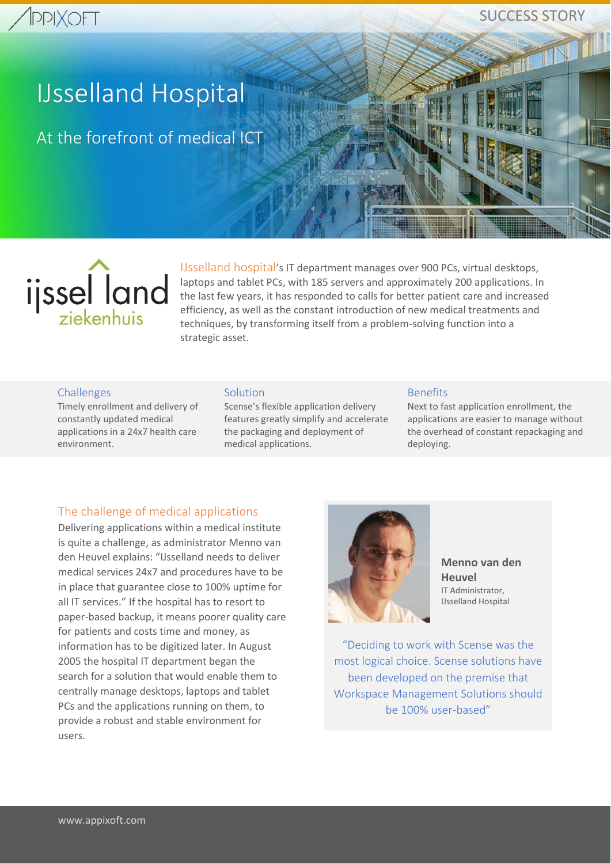# **PPIXOFT**

# SUCCESS STORY

**COMMERCIAL** 

# IJsselland Hospital

At the forefront of medical ICT



IJsselland hospital's IT department manages over 900 PCs, virtual desktops, laptops and tablet PCs, with 185 servers and approximately 200 applications. In the last few years, it has responded to calls for better patient care and increased efficiency, as well as the constant introduction of new medical treatments and techniques, by transforming itself from a problem-solving function into a strategic asset.

#### Challenges

Timely enrollment and delivery of constantly updated medical applications in a 24x7 health care environment.

#### **Solution**

Scense's flexible application delivery features greatly simplify and accelerate the packaging and deployment of medical applications.

#### Benefits

Next to fast application enrollment, the applications are easier to manage without the overhead of constant repackaging and deploying.

#### The challenge of medical applications

Delivering applications within a medical institute is quite a challenge, as administrator Menno van den Heuvel explains: "IJsselland needs to deliver medical services 24x7 and procedures have to be in place that guarantee close to 100% uptime for all IT services." If the hospital has to resort to paper-based backup, it means poorer quality care for patients and costs time and money, as information has to be digitized later. In August 2005 the hospital IT department began the search for a solution that would enable them to centrally manage desktops, laptops and tablet PCs and the applications running on them, to provide a robust and stable environment for users.



**Menno van den Heuvel**  IT Administrator, IJsselland Hospital

"Deciding to work with Scense was the most logical choice. Scense solutions have been developed on the premise that Workspace Management Solutions should be 100% user-based"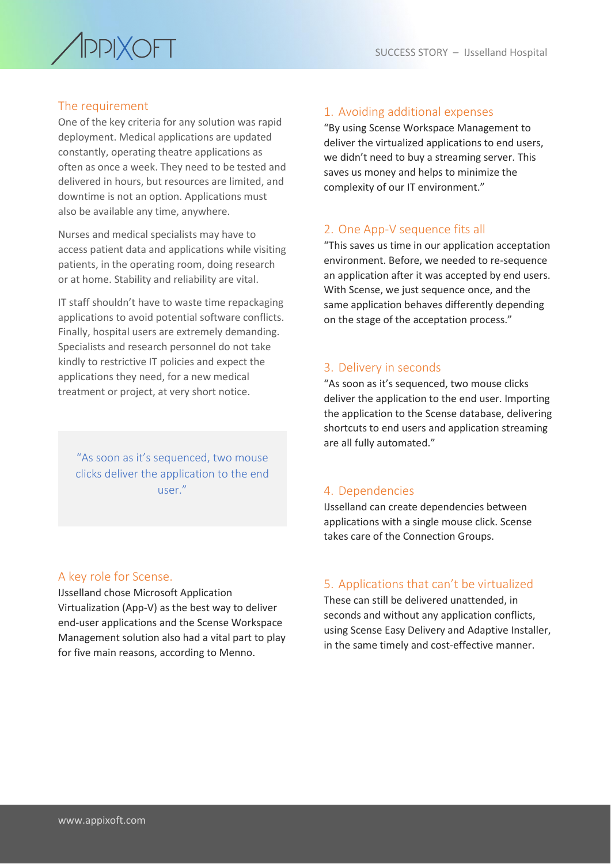

#### The requirement

One of the key criteria for any solution was rapid deployment. Medical applications are updated constantly, operating theatre applications as often as once a week. They need to be tested and delivered in hours, but resources are limited, and downtime is not an option. Applications must also be available any time, anywhere.

Nurses and medical specialists may have to access patient data and applications while visiting patients, in the operating room, doing research or at home. Stability and reliability are vital.

IT staff shouldn't have to waste time repackaging applications to avoid potential software conflicts. Finally, hospital users are extremely demanding. Specialists and research personnel do not take kindly to restrictive IT policies and expect the applications they need, for a new medical treatment or project, at very short notice.

"As soon as it's sequenced, two mouse clicks deliver the application to the end user."

#### A key role for Scense.

IJsselland chose Microsoft Application Virtualization (App-V) as the best way to deliver end-user applications and the Scense Workspace Management solution also had a vital part to play for five main reasons, according to Menno.

#### 1. Avoiding additional expenses

"By using Scense Workspace Management to deliver the virtualized applications to end users, we didn't need to buy a streaming server. This saves us money and helps to minimize the complexity of our IT environment."

#### 2. One App-V sequence fits all

"This saves us time in our application acceptation environment. Before, we needed to re-sequence an application after it was accepted by end users. With Scense, we just sequence once, and the same application behaves differently depending on the stage of the acceptation process."

#### 3. Delivery in seconds

"As soon as it's sequenced, two mouse clicks deliver the application to the end user. Importing the application to the Scense database, delivering shortcuts to end users and application streaming are all fully automated."

#### 4. Dependencies

IJsselland can create dependencies between applications with a single mouse click. Scense takes care of the Connection Groups.

#### 5. Applications that can't be virtualized

These can still be delivered unattended, in seconds and without any application conflicts, using Scense Easy Delivery and Adaptive Installer, in the same timely and cost-effective manner.